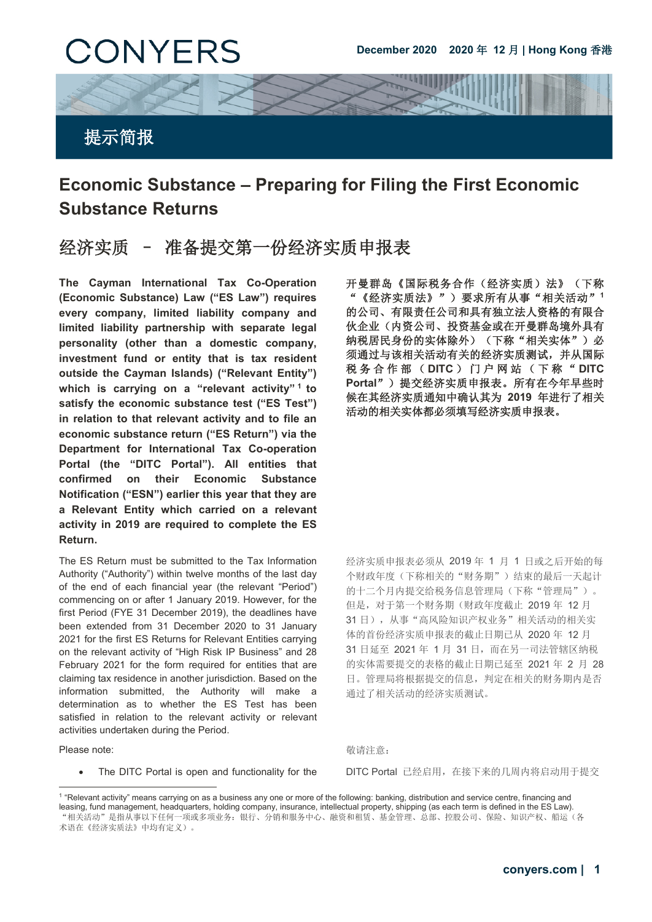

# **Economic Substance – Preparing for Filing the First Economic Substance Returns**

## 经济实质 – 准备提交第一份经济实质申报表

**The Cayman International Tax Co-Operation (Economic Substance) Law ("ES Law") requires every company, limited liability company and limited liability partnership with separate legal personality (other than a domestic company, investment fund or entity that is tax resident outside the Cayman Islands) ("Relevant Entity") which is carrying on a "relevant activity" [1](#page-0-0) to satisfy the economic substance test ("ES Test") in relation to that relevant activity and to file an economic substance return ("ES Return") via the Department for International Tax Co-operation Portal (the "DITC Portal"). All entities that confirmed on their Economic Substance Notification ("ESN") earlier this year that they are a Relevant Entity which carried on a relevant activity in 2019 are required to complete the ES Return.**

The ES Return must be submitted to the Tax Information Authority ("Authority") within twelve months of the last day of the end of each financial year (the relevant "Period") commencing on or after 1 January 2019. However, for the first Period (FYE 31 December 2019), the deadlines have been extended from 31 December 2020 to 31 January 2021 for the first ES Returns for Relevant Entities carrying on the relevant activity of "High Risk IP Business" and 28 February 2021 for the form required for entities that are claiming tax residence in another jurisdiction. Based on the information submitted, the Authority will make a determination as to whether the ES Test has been satisfied in relation to the relevant activity or relevant activities undertaken during the Period.

Please note: **but a content of the content of the content of the content of the content of the content of the content of the content of the content of the content of the content of the content of the content of the conten** 

-

 开曼群岛《国际税务合作(经济实质)法》(下称 "《经济实质法》")要求所有从事"相关活动"**<sup>1</sup>** 的公司、有限责任公司和具有独立法人资格的有限合 伙企业(内资公司、投资基金或在开曼群岛境外具有 纳税居民身份的实体除外)(下称"相关实体")必 须通过与该相关活动有关的经济实质测试,并从国际 税务合作部( **DITC** )门户网站(下称" **DITC Portal**")提交经济实质申报表。所有在今年早些时 候在其经济实质通知中确认其为 **2019** 年进行了相关 活动的相关实体都必须填写经济实质申报表。

经济实质申报表必须从 2019 年 1 月 1 日或之后开始的每 个财政年度(下称相关的"财务期")结束的最后一天起计 的十二个月内提交给税务信息管理局(下称"管理局")。 但是,对于第一个财务期(财政年度截止 2019 年 12 月 31 日),从事"高风险知识产权业务"相关活动的相关实 体的首份经济实质申报表的截止日期已从 2020 年 12 月 31 日延至 2021 年 1 月 31 日,而在另一司法管辖区纳税 的实体需要提交的表格的截止日期已延至 2021 年 2 月 28 日。管理局将根据提交的信息,判定在相关的财务期内是否 通过了相关活动的经济实质测试。

• The DITC Portal is open and functionality for the DITC Portal 已经启用,在接下来的几周内将启动用于提交

<span id="page-0-0"></span><sup>1</sup> "Relevant activity" means carrying on as a business any one or more of the following: banking, distribution and service centre, financing and leasing, fund management, headquarters, holding company, insurance, intellectual property, shipping (as each term is defined in the ES Law). "相关活动"是指从事以下任何一项或多项业务:银行、分销和服务中心、融资和租赁、基金管理、总部、控股公司、保险、知识产权、船运(各 术语在《经济实质法》中均有定义)。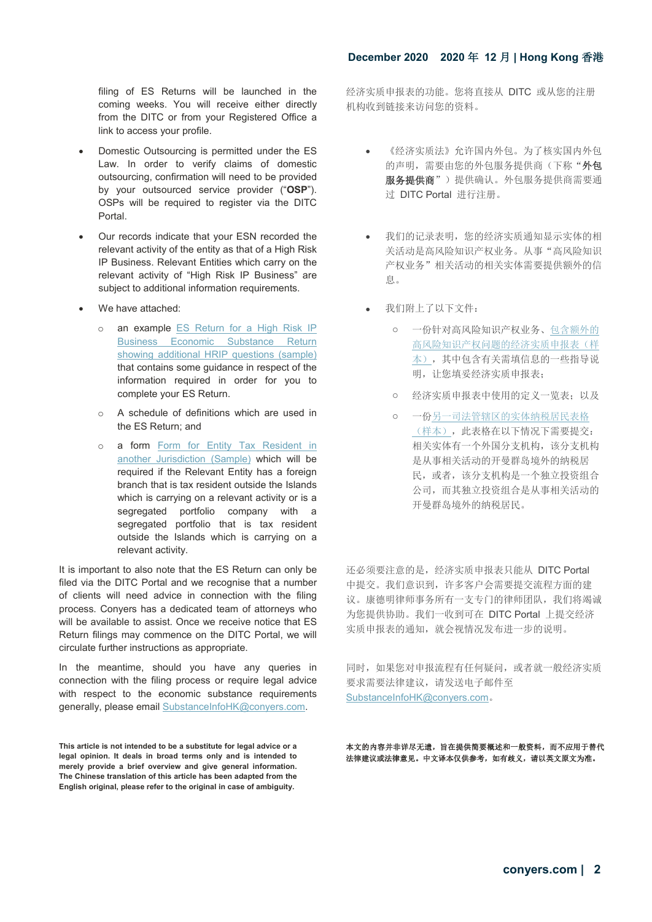### **December 2020 2020** 年 **12** 月 **| Hong Kong** 香港

filing of ES Returns will be launched in the coming weeks. You will receive either directly from the DITC or from your Registered Office a link to access your profile.

- Domestic Outsourcing is permitted under the ES Law. In order to verify claims of domestic outsourcing, confirmation will need to be provided by your outsourced service provider ("**OSP**"). OSPs will be required to register via the DITC Portal.
- Our records indicate that your ESN recorded the relevant activity of the entity as that of a High Risk IP Business. Relevant Entities which carry on the relevant activity of "High Risk IP Business" are subject to additional information requirements.
- We have attached:
	- o an example [ES Return for a High Risk IP](https://www.ditc.ky/wp-content/uploads/ES-Return-showing-additional-HRIP-questions.pdf)  [Business Economic Substance Return](https://www.ditc.ky/wp-content/uploads/ES-Return-showing-additional-HRIP-questions.pdf)  [showing additional HRIP questions \(sample\)](https://www.ditc.ky/wp-content/uploads/ES-Return-showing-additional-HRIP-questions.pdf) that contains some guidance in respect of the information required in order for you to complete your ES Return.
	- o A schedule of definitions which are used in the ES Return; and
	- o a form [Form for Entity Tax Resident in](https://www.ditc.ky/wp-content/uploads/Form-for-Entity-tax-resident-in-another-jurisdiction.pdf)  [another Jurisdiction \(Sample\)](https://www.ditc.ky/wp-content/uploads/Form-for-Entity-tax-resident-in-another-jurisdiction.pdf) which will be required if the Relevant Entity has a foreign branch that is tax resident outside the Islands which is carrying on a relevant activity or is a segregated portfolio company with a segregated portfolio that is tax resident outside the Islands which is carrying on a relevant activity.

It is important to also note that the ES Return can only be filed via the DITC Portal and we recognise that a number of clients will need advice in connection with the filing process. Conyers has a dedicated team of attorneys who will be available to assist. Once we receive notice that ES Return filings may commence on the DITC Portal, we will circulate further instructions as appropriate.

In the meantime, should you have any queries in connection with the filing process or require legal advice with respect to the economic substance requirements generally, please emai[l SubstanceInfoHK@conyers.com.](mailto:SubstanceInfoHK@conyers.com)

**This article is not intended to be a substitute for legal advice or a legal opinion. It deals in broad terms only and is intended to merely provide a brief overview and give general information. The Chinese translation of this article has been adapted from the English original, please refer to the original in case of ambiguity.**

经济实质申报表的功能。您将直接从 DITC 或从您的注册 机构收到链接来访问您的资料。

- 《经济实质法》允许国内外包。为了核实国内外包 的声明,需要由您的外包服务提供商(下称"外包 服务提供商")提供确认。外包服务提供商需要通 过 DITC Portal 进行注册。
- 我们的记录表明,您的经济实质通知显示实体的相 关活动是高风险知识产权业务。从事"高风险知识 产权业务"相关活动的相关实体需要提供额外的信 息。
- 我们附上了以下文件:
	- o 一份针对高风险知识产权业务[、包含额外的](https://www.ditc.ky/wp-content/uploads/ES-Return-showing-additional-HRIP-questions.pdf) [高风险知识产权问题的经济实质申报表\(样](https://www.ditc.ky/wp-content/uploads/ES-Return-showing-additional-HRIP-questions.pdf) [本\),](https://www.ditc.ky/wp-content/uploads/ES-Return-showing-additional-HRIP-questions.pdf)其中包含有关需填信息的一些指导说 明,让您填妥经济实质申报表;
	- o 经济实质申报表中使用的定义一览表;以及
	- o 一[份另一司法管辖区的实体纳税居民表格](https://www.ditc.ky/wp-content/uploads/Form-for-Entity-tax-resident-in-another-jurisdiction.pdf) [\(样本\),](https://www.ditc.ky/wp-content/uploads/Form-for-Entity-tax-resident-in-another-jurisdiction.pdf)此表格在以下情况下需要提交: 相关实体有一个外国分支机构,该分支机构 是从事相关活动的开曼群岛境外的纳税居 民,或者,该分支机构是一个独立投资组合 公司,而其独立投资组合是从事相关活动的 开曼群岛境外的纳税居民。

还必须要注意的是,经济实质申报表只能从 DITC Portal 中提交。我们意识到,许多客户会需要提交流程方面的建 议。康德明律师事务所有一支专门的律师团队,我们将竭诚 为您提供协助。我们一收到可在 DITC Portal 上提交经济 实质申报表的通知,就会视情况发布进一步的说明。

同时,如果您对申报流程有任何疑问,或者就一般经济实质 要求需要法律建议,请发送电子邮件至 [SubstanceInfoHK@conyers.com](mailto:SubstanceInfoHK@conyers.com)。

本文的内容并非详尽无遗,旨在提供简要概述和一般资料,而不应用于替代 法律建议或法律意见。中文译本仅供参考,如有歧义,请以英文原文为准。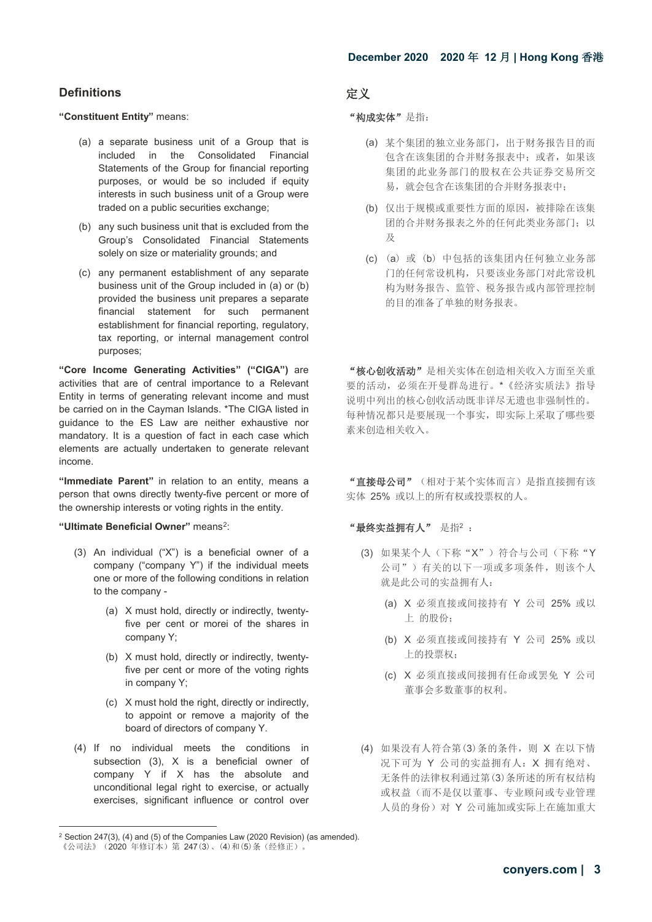### **Definitions** 定义

### **"Constituent Entity"** means:  $\bullet$  **"Modes are "**  $\bullet$  " 构成实体" 是指:

- (a) a separate business unit of a Group that is included in the Consolidated Financial Statements of the Group for financial reporting purposes, or would be so included if equity interests in such business unit of a Group were traded on a public securities exchange;
- (b) any such business unit that is excluded from the Group's Consolidated Financial Statements solely on size or materiality grounds; and
- (c) any permanent establishment of any separate business unit of the Group included in (a) or (b) provided the business unit prepares a separate financial statement for such permanent establishment for financial reporting, regulatory, tax reporting, or internal management control purposes;

**"Core Income Generating Activities" ("CIGA")** are activities that are of central importance to a Relevant Entity in terms of generating relevant income and must be carried on in the Cayman Islands. \*The CIGA listed in guidance to the ES Law are neither exhaustive nor mandatory. It is a question of fact in each case which elements are actually undertaken to generate relevant income.

**"Immediate Parent"** in relation to an entity, means a person that owns directly twenty-five percent or more of the ownership interests or voting rights in the entity.

### **"Ultimate Beneficial Owner"** means[2](#page-2-0): "最终实益拥有人" 是指<sup>2</sup> :

- (3) An individual ("X") is a beneficial owner of a company ("company Y") if the individual meets one or more of the following conditions in relation to the company -
	- (a) X must hold, directly or indirectly, twentyfive per cent or morei of the shares in company Y;
	- (b) X must hold, directly or indirectly, twentyfive per cent or more of the voting rights in company Y;
	- (c) X must hold the right, directly or indirectly, to appoint or remove a majority of the board of directors of company Y.
- (4) If no individual meets the conditions in subsection (3), X is a beneficial owner of company  $\overrightarrow{Y}$  if  $\overrightarrow{X}$  has the absolute and unconditional legal right to exercise, or actually exercises, significant influence or control over

- (a) 某个集团的独立业务部门,出于财务报告目的而 包含在该集团的合并财务报表中;或者,如果该 集团的此业务部门的股权在公共证券交易所交 易,就会包含在该集团的合并财务报表中;
- (b) 仅出于规模或重要性方面的原因,被排除在该集 团的合并财务报表之外的任何此类业务部门;以 及
- (c) (a) 或 (b) 中包括的该集团内任何独立业务部 门的任何常设机构,只要该业务部门对此常设机 构为财务报告、监管、税务报告或内部管理控制 的目的准备了单独的财务报表。

 "核心创收活动"是相关实体在创造相关收入方面至关重 要的活动,必须在开曼群岛进行。\*《经济实质法》指导 说明中列出的核心创收活动既非详尽无遗也非强制性的。 每种情况都只是要展现一个事实,即实际上采取了哪些要 素来创造相关收入。

"直接母公司"(相对于某个实体而言)是指直接拥有该 实体 25% 或以上的所有权或投票权的人。

- (3) 如果某个人(下称"X")符合与公司(下称"Y 公司")有关的以下一项或多项条件,则该个人 就是此公司的实益拥有人:
	- (a) X 必须直接或间接持有 Y 公司 25% 或以 上 的股份;
	- (b) X 必须直接或间接持有 Y 公司 25% 或以 上的投票权;
	- (c) X 必须直接或间接拥有任命或罢免 Y 公司 董事会多数董事的权利。
- (4) 如果没有人符合第(3)条的条件,则 X 在以下情 况下可为 Y 公司的实益拥有人:X 拥有绝对、 无条件的法律权利通过第(3)条所述的所有权结构 或权益(而不是仅以董事、专业顾问或专业管理 人员的身份)对 Y 公司施加或实际上在施加重大

-

<span id="page-2-0"></span><sup>2</sup> Section 247(3), (4) and (5) of the Companies Law (2020 Revision) (as amended). 《公司法》(2020年修订本)第 247(3)、(4)和(5)条(经修正)。